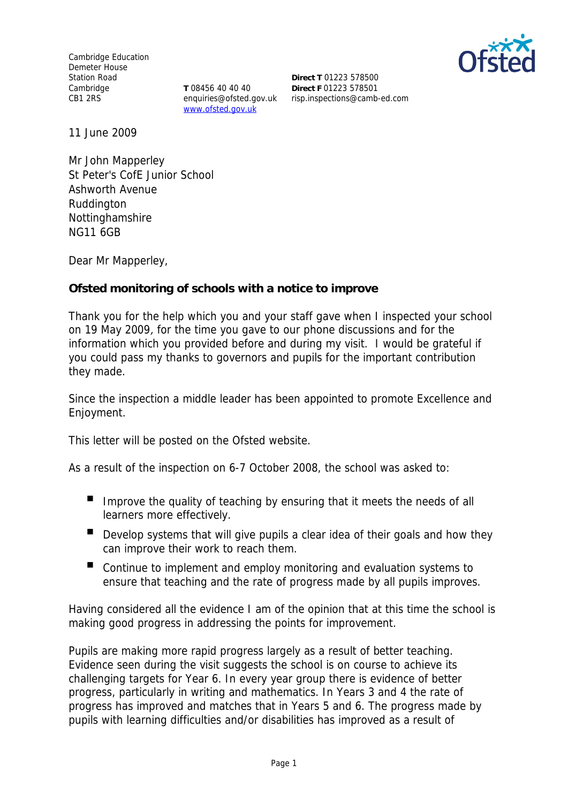Cambridge Education Demeter House Station Road Cambridge CB1 2RS

**T** 08456 40 40 40 enquiries@ofsted.gov.uk www.ofsted.gov.uk



**Direct T** 01223 578500 **Direct F** 01223 578501 risp.inspections@camb-ed.com

11 June 2009

Mr John Mapperley St Peter's CofE Junior School Ashworth Avenue **Ruddington** Nottinghamshire NG11 6GB

Dear Mr Mapperley,

**Ofsted monitoring of schools with a notice to improve**

Thank you for the help which you and your staff gave when I inspected your school on 19 May 2009, for the time you gave to our phone discussions and for the information which you provided before and during my visit. I would be grateful if you could pass my thanks to governors and pupils for the important contribution they made.

Since the inspection a middle leader has been appointed to promote Excellence and Enjoyment.

This letter will be posted on the Ofsted website.

As a result of the inspection on 6-7 October 2008, the school was asked to:

- Improve the quality of teaching by ensuring that it meets the needs of all learners more effectively.
- Develop systems that will give pupils a clear idea of their goals and how they can improve their work to reach them.
- Continue to implement and employ monitoring and evaluation systems to ensure that teaching and the rate of progress made by all pupils improves.

Having considered all the evidence I am of the opinion that at this time the school is making good progress in addressing the points for improvement.

Pupils are making more rapid progress largely as a result of better teaching. Evidence seen during the visit suggests the school is on course to achieve its challenging targets for Year 6. In every year group there is evidence of better progress, particularly in writing and mathematics. In Years 3 and 4 the rate of progress has improved and matches that in Years 5 and 6. The progress made by pupils with learning difficulties and/or disabilities has improved as a result of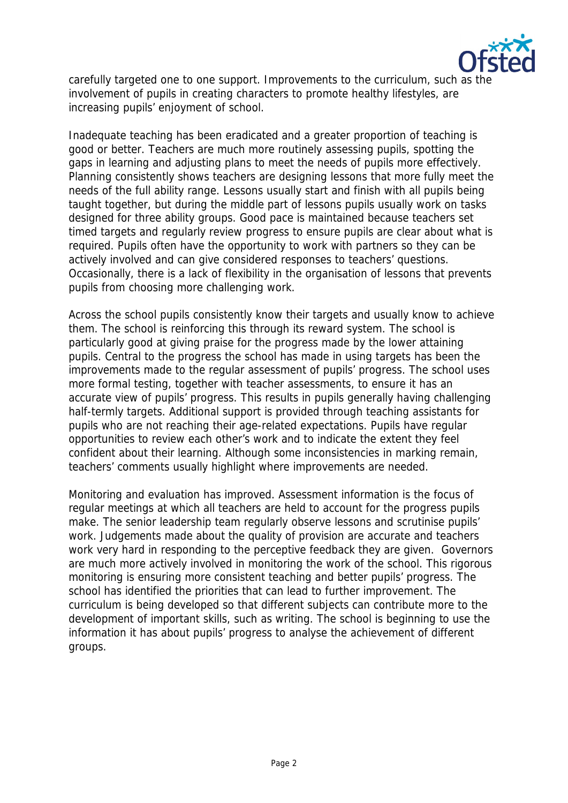

carefully targeted one to one support. Improvements to the curriculum, such as the involvement of pupils in creating characters to promote healthy lifestyles, are increasing pupils' enjoyment of school.

Inadequate teaching has been eradicated and a greater proportion of teaching is good or better. Teachers are much more routinely assessing pupils, spotting the gaps in learning and adjusting plans to meet the needs of pupils more effectively. Planning consistently shows teachers are designing lessons that more fully meet the needs of the full ability range. Lessons usually start and finish with all pupils being taught together, but during the middle part of lessons pupils usually work on tasks designed for three ability groups. Good pace is maintained because teachers set timed targets and regularly review progress to ensure pupils are clear about what is required. Pupils often have the opportunity to work with partners so they can be actively involved and can give considered responses to teachers' questions. Occasionally, there is a lack of flexibility in the organisation of lessons that prevents pupils from choosing more challenging work.

Across the school pupils consistently know their targets and usually know to achieve them. The school is reinforcing this through its reward system. The school is particularly good at giving praise for the progress made by the lower attaining pupils. Central to the progress the school has made in using targets has been the improvements made to the regular assessment of pupils' progress. The school uses more formal testing, together with teacher assessments, to ensure it has an accurate view of pupils' progress. This results in pupils generally having challenging half-termly targets. Additional support is provided through teaching assistants for pupils who are not reaching their age-related expectations. Pupils have regular opportunities to review each other's work and to indicate the extent they feel confident about their learning. Although some inconsistencies in marking remain, teachers' comments usually highlight where improvements are needed.

Monitoring and evaluation has improved. Assessment information is the focus of regular meetings at which all teachers are held to account for the progress pupils make. The senior leadership team regularly observe lessons and scrutinise pupils' work. Judgements made about the quality of provision are accurate and teachers work very hard in responding to the perceptive feedback they are given. Governors are much more actively involved in monitoring the work of the school. This rigorous monitoring is ensuring more consistent teaching and better pupils' progress. The school has identified the priorities that can lead to further improvement. The curriculum is being developed so that different subjects can contribute more to the development of important skills, such as writing. The school is beginning to use the information it has about pupils' progress to analyse the achievement of different groups.